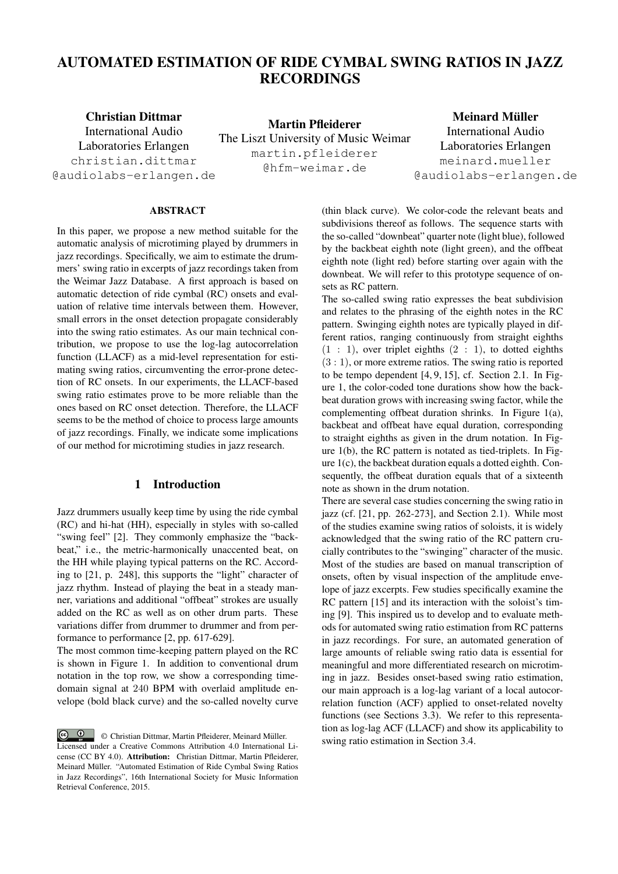# AUTOMATED ESTIMATION OF RIDE CYMBAL SWING RATIOS IN JAZZ RECORDINGS

Christian Dittmar International Audio Laboratories Erlangen christian.dittmar @audiolabs-erlangen.de

Martin Pfleiderer The Liszt University of Music Weimar martin.pfleiderer @hfm-weimar.de

Meinard Müller International Audio Laboratories Erlangen meinard.mueller @audiolabs-erlangen.de

# ABSTRACT

In this paper, we propose a new method suitable for the automatic analysis of microtiming played by drummers in jazz recordings. Specifically, we aim to estimate the drummers' swing ratio in excerpts of jazz recordings taken from the Weimar Jazz Database. A first approach is based on automatic detection of ride cymbal (RC) onsets and evaluation of relative time intervals between them. However, small errors in the onset detection propagate considerably into the swing ratio estimates. As our main technical contribution, we propose to use the log-lag autocorrelation function (LLACF) as a mid-level representation for estimating swing ratios, circumventing the error-prone detection of RC onsets. In our experiments, the LLACF-based swing ratio estimates prove to be more reliable than the ones based on RC onset detection. Therefore, the LLACF seems to be the method of choice to process large amounts of jazz recordings. Finally, we indicate some implications of our method for microtiming studies in jazz research.

# 1 Introduction

Jazz drummers usually keep time by using the ride cymbal (RC) and hi-hat (HH), especially in styles with so-called "swing feel" [2]. They commonly emphasize the "backbeat," i.e., the metric-harmonically unaccented beat, on the HH while playing typical patterns on the RC. According to [21, p. 248], this supports the "light" character of jazz rhythm. Instead of playing the beat in a steady manner, variations and additional "offbeat" strokes are usually added on the RC as well as on other drum parts. These variations differ from drummer to drummer and from performance to performance [2, pp. 617-629].

The most common time-keeping pattern played on the RC is shown in Figure 1. In addition to conventional drum notation in the top row, we show a corresponding timedomain signal at 240 BPM with overlaid amplitude envelope (bold black curve) and the so-called novelty curve (thin black curve). We color-code the relevant beats and subdivisions thereof as follows. The sequence starts with the so-called "downbeat" quarter note (light blue), followed by the backbeat eighth note (light green), and the offbeat eighth note (light red) before starting over again with the downbeat. We will refer to this prototype sequence of onsets as RC pattern.

The so-called swing ratio expresses the beat subdivision and relates to the phrasing of the eighth notes in the RC pattern. Swinging eighth notes are typically played in different ratios, ranging continuously from straight eighths  $(1 : 1)$ , over triplet eighths  $(2 : 1)$ , to dotted eighths  $(3:1)$ , or more extreme ratios. The swing ratio is reported to be tempo dependent [4, 9, 15], cf. Section 2.1. In Figure 1, the color-coded tone durations show how the backbeat duration grows with increasing swing factor, while the complementing offbeat duration shrinks. In Figure 1(a), backbeat and offbeat have equal duration, corresponding to straight eighths as given in the drum notation. In Figure 1(b), the RC pattern is notated as tied-triplets. In Figure 1(c), the backbeat duration equals a dotted eighth. Consequently, the offbeat duration equals that of a sixteenth note as shown in the drum notation.

There are several case studies concerning the swing ratio in jazz (cf. [21, pp. 262-273], and Section 2.1). While most of the studies examine swing ratios of soloists, it is widely acknowledged that the swing ratio of the RC pattern crucially contributes to the "swinging" character of the music. Most of the studies are based on manual transcription of onsets, often by visual inspection of the amplitude envelope of jazz excerpts. Few studies specifically examine the RC pattern [15] and its interaction with the soloist's timing [9]. This inspired us to develop and to evaluate methods for automated swing ratio estimation from RC patterns in jazz recordings. For sure, an automated generation of large amounts of reliable swing ratio data is essential for meaningful and more differentiated research on microtiming in jazz. Besides onset-based swing ratio estimation, our main approach is a log-lag variant of a local autocorrelation function (ACF) applied to onset-related novelty functions (see Sections 3.3). We refer to this representation as log-lag ACF (LLACF) and show its applicability to swing ratio estimation in Section 3.4.

<sup>© &</sup>lt;sup>0</sup> © Christian Dittmar, Martin Pfleiderer, Meinard Müller. Licensed under a Creative Commons Attribution 4.0 International License (CC BY 4.0). Attribution: Christian Dittmar, Martin Pfleiderer, Meinard Muller. "Automated Estimation of Ride Cymbal Swing Ratios ¨ in Jazz Recordings", 16th International Society for Music Information Retrieval Conference, 2015.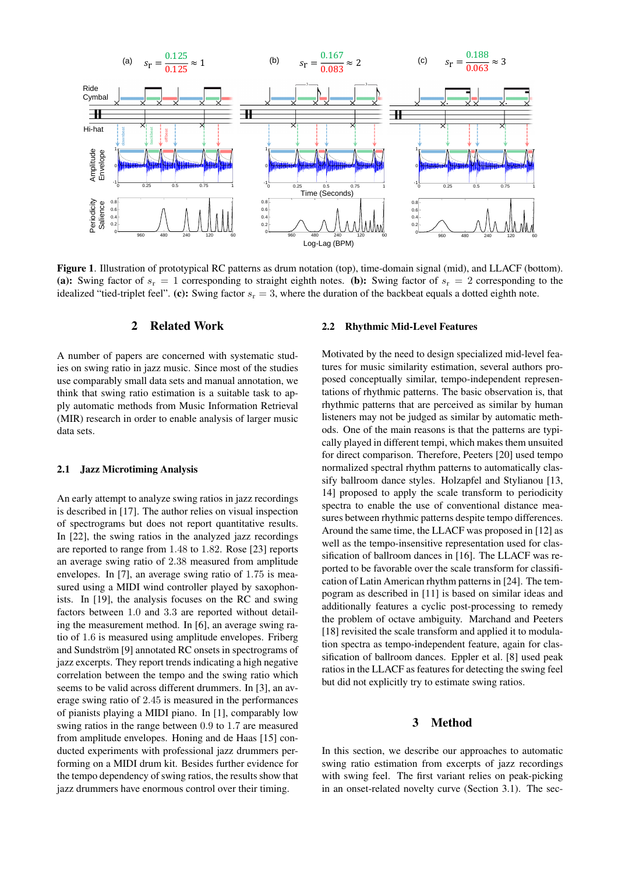

Figure 1. Illustration of prototypical RC patterns as drum notation (top), time-domain signal (mid), and LLACF (bottom). (a): Swing factor of  $s_r = 1$  corresponding to straight eighth notes. (b): Swing factor of  $s_r = 2$  corresponding to the idealized "tied-triplet feel". (c): Swing factor  $s_r = 3$ , where the duration of the backbeat equals a dotted eighth note.

# 2 Related Work

A number of papers are concerned with systematic studies on swing ratio in jazz music. Since most of the studies use comparably small data sets and manual annotation, we think that swing ratio estimation is a suitable task to apply automatic methods from Music Information Retrieval (MIR) research in order to enable analysis of larger music data sets.

### 2.1 Jazz Microtiming Analysis

An early attempt to analyze swing ratios in jazz recordings is described in [17]. The author relies on visual inspection of spectrograms but does not report quantitative results. In [22], the swing ratios in the analyzed jazz recordings are reported to range from 1.48 to 1.82. Rose [23] reports an average swing ratio of 2.38 measured from amplitude envelopes. In [7], an average swing ratio of 1.75 is measured using a MIDI wind controller played by saxophonists. In [19], the analysis focuses on the RC and swing factors between 1.0 and 3.3 are reported without detailing the measurement method. In [6], an average swing ratio of 1.6 is measured using amplitude envelopes. Friberg and Sundström [9] annotated RC onsets in spectrograms of jazz excerpts. They report trends indicating a high negative correlation between the tempo and the swing ratio which seems to be valid across different drummers. In [3], an average swing ratio of 2.45 is measured in the performances of pianists playing a MIDI piano. In [1], comparably low swing ratios in the range between 0.9 to 1.7 are measured from amplitude envelopes. Honing and de Haas [15] conducted experiments with professional jazz drummers performing on a MIDI drum kit. Besides further evidence for the tempo dependency of swing ratios, the results show that jazz drummers have enormous control over their timing.

### 2.2 Rhythmic Mid-Level Features

Motivated by the need to design specialized mid-level features for music similarity estimation, several authors proposed conceptually similar, tempo-independent representations of rhythmic patterns. The basic observation is, that rhythmic patterns that are perceived as similar by human listeners may not be judged as similar by automatic methods. One of the main reasons is that the patterns are typically played in different tempi, which makes them unsuited for direct comparison. Therefore, Peeters [20] used tempo normalized spectral rhythm patterns to automatically classify ballroom dance styles. Holzapfel and Stylianou [13, 14] proposed to apply the scale transform to periodicity spectra to enable the use of conventional distance measures between rhythmic patterns despite tempo differences. Around the same time, the LLACF was proposed in [12] as well as the tempo-insensitive representation used for classification of ballroom dances in [16]. The LLACF was reported to be favorable over the scale transform for classification of Latin American rhythm patterns in [24]. The tempogram as described in [11] is based on similar ideas and additionally features a cyclic post-processing to remedy the problem of octave ambiguity. Marchand and Peeters [18] revisited the scale transform and applied it to modulation spectra as tempo-independent feature, again for classification of ballroom dances. Eppler et al. [8] used peak ratios in the LLACF as features for detecting the swing feel but did not explicitly try to estimate swing ratios.

### 3 Method

In this section, we describe our approaches to automatic swing ratio estimation from excerpts of jazz recordings with swing feel. The first variant relies on peak-picking in an onset-related novelty curve (Section 3.1). The sec-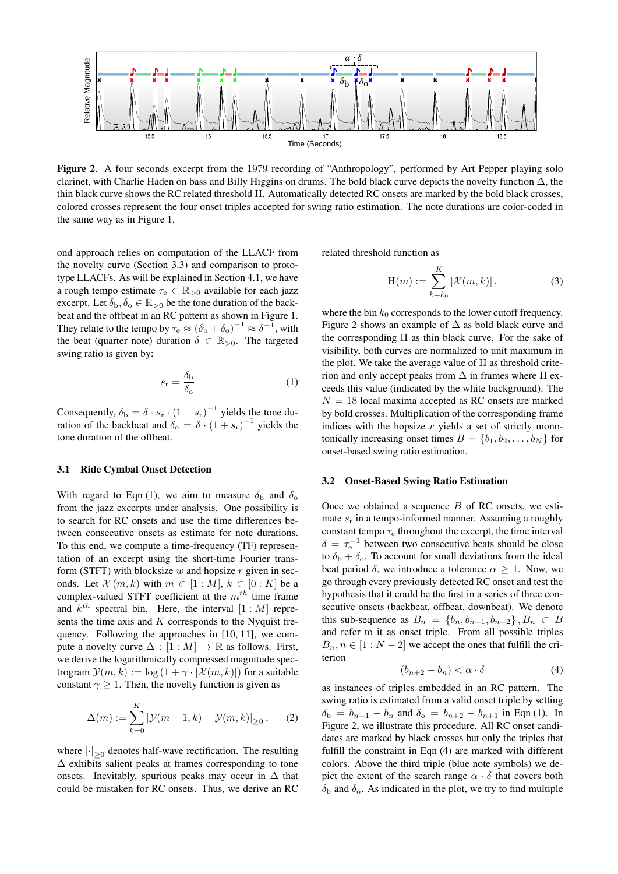

Figure 2. A four seconds excerpt from the 1979 recording of "Anthropology", performed by Art Pepper playing solo clarinet, with Charlie Haden on bass and Billy Higgins on drums. The bold black curve depicts the novelty function  $\Delta$ , the thin black curve shows the RC related threshold H. Automatically detected RC onsets are marked by the bold black crosses, colored crosses represent the four onset triples accepted for swing ratio estimation. The note durations are color-coded in the same way as in Figure 1.

ond approach relies on computation of the LLACF from the novelty curve (Section 3.3) and comparison to prototype LLACFs. As will be explained in Section 4.1, we have a rough tempo estimate  $\tau_e \in \mathbb{R}_{>0}$  available for each jazz excerpt. Let  $\delta_{b}$ ,  $\delta_{o} \in \mathbb{R}_{>0}$  be the tone duration of the backbeat and the offbeat in an RC pattern as shown in Figure 1. They relate to the tempo by  $\tau_e \approx (\delta_b + \delta_o)^{-1} \approx \delta^{-1}$ , with the beat (quarter note) duration  $\delta \in \mathbb{R}_{>0}$ . The targeted swing ratio is given by:

$$
s_{\rm r} = \frac{\delta_{\rm b}}{\delta_{\rm o}}\tag{1}
$$

Consequently,  $\delta_{\rm b} = \delta \cdot s_{\rm r} \cdot (1 + s_{\rm r})^{-1}$  yields the tone duration of the backbeat and  $\delta_{\rm o} = \delta \cdot (1 + s_{\rm r})^{-1}$  yields the tone duration of the offbeat.

## 3.1 Ride Cymbal Onset Detection

With regard to Eqn (1), we aim to measure  $\delta_{\rm b}$  and  $\delta_{\rm o}$ from the jazz excerpts under analysis. One possibility is to search for RC onsets and use the time differences between consecutive onsets as estimate for note durations. To this end, we compute a time-frequency (TF) representation of an excerpt using the short-time Fourier transform (STFT) with blocksize  $w$  and hopsize  $r$  given in seconds. Let  $\mathcal{X}(m,k)$  with  $m \in [1:M], k \in [0:K]$  be a complex-valued STFT coefficient at the  $m^{th}$  time frame and  $k^{th}$  spectral bin. Here, the interval  $[1:M]$  represents the time axis and  $K$  corresponds to the Nyquist frequency. Following the approaches in [10, 11], we compute a novelty curve  $\Delta : [1 : M] \rightarrow \mathbb{R}$  as follows. First, we derive the logarithmically compressed magnitude spectrogram  $\mathcal{Y}(m, k) := \log (1 + \gamma \cdot |\mathcal{X}(m, k)|)$  for a suitable constant  $\gamma \geq 1$ . Then, the novelty function is given as

$$
\Delta(m) := \sum_{k=0}^{K} |\mathcal{Y}(m+1,k) - \mathcal{Y}(m,k)|_{\geq 0}, \qquad (2)
$$

where  $\left|\cdot\right|_{\geq 0}$  denotes half-wave rectification. The resulting  $\Delta$  exhibits salient peaks at frames corresponding to tone onsets. Inevitably, spurious peaks may occur in  $\Delta$  that could be mistaken for RC onsets. Thus, we derive an RC related threshold function as

$$
H(m) := \sum_{k=k_0}^{K} |\mathcal{X}(m, k)|,
$$
 (3)

where the bin  $k_0$  corresponds to the lower cutoff frequency. Figure 2 shows an example of  $\Delta$  as bold black curve and the corresponding H as thin black curve. For the sake of visibility, both curves are normalized to unit maximum in the plot. We take the average value of H as threshold criterion and only accept peaks from  $\Delta$  in frames where H exceeds this value (indicated by the white background). The  $N = 18$  local maxima accepted as RC onsets are marked by bold crosses. Multiplication of the corresponding frame indices with the hopsize  $r$  yields a set of strictly monotonically increasing onset times  $B = \{b_1, b_2, \ldots, b_N\}$  for onset-based swing ratio estimation.

#### 3.2 Onset-Based Swing Ratio Estimation

Once we obtained a sequence  $B$  of RC onsets, we estimate  $s_r$  in a tempo-informed manner. Assuming a roughly constant tempo  $\tau_e$  throughout the excerpt, the time interval  $\delta = \tau_e^{-1}$  between two consecutive beats should be close to  $\delta_{\rm b} + \delta_{\rm o}$ . To account for small deviations from the ideal beat period  $\delta$ , we introduce a tolerance  $\alpha \geq 1$ . Now, we go through every previously detected RC onset and test the hypothesis that it could be the first in a series of three consecutive onsets (backbeat, offbeat, downbeat). We denote this sub-sequence as  $B_n = \{b_n, b_{n+1}, b_{n+2}\}\, , B_n \subset B$ and refer to it as onset triple. From all possible triples  $B_n, n \in [1:N-2]$  we accept the ones that fulfill the criterion

$$
(b_{n+2} - b_n) < \alpha \cdot \delta \tag{4}
$$

as instances of triples embedded in an RC pattern. The swing ratio is estimated from a valid onset triple by setting  $\delta_{\rm b} = b_{n+1} - b_n$  and  $\delta_{\rm o} = b_{n+2} - b_{n+1}$  in Eqn (1). In Figure 2, we illustrate this procedure. All RC onset candidates are marked by black crosses but only the triples that fulfill the constraint in Eqn (4) are marked with different colors. Above the third triple (blue note symbols) we depict the extent of the search range  $\alpha \cdot \delta$  that covers both  $\delta_{\rm b}$  and  $\delta_{\rm o}$ . As indicated in the plot, we try to find multiple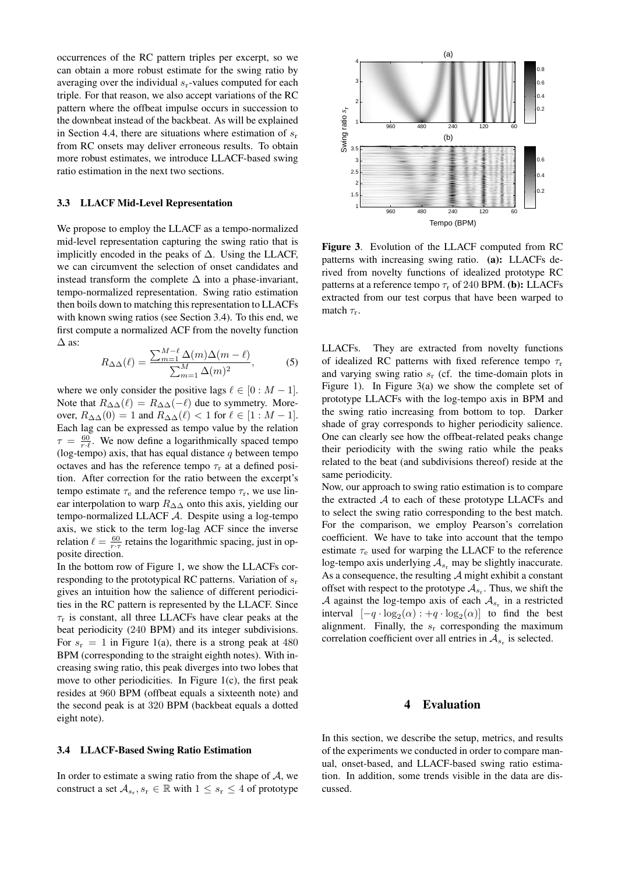occurrences of the RC pattern triples per excerpt, so we can obtain a more robust estimate for the swing ratio by averaging over the individual  $s_r$ -values computed for each triple. For that reason, we also accept variations of the RC pattern where the offbeat impulse occurs in succession to the downbeat instead of the backbeat. As will be explained in Section 4.4, there are situations where estimation of  $s_r$ from RC onsets may deliver erroneous results. To obtain more robust estimates, we introduce LLACF-based swing ratio estimation in the next two sections.

#### 3.3 LLACF Mid-Level Representation

We propose to employ the LLACF as a tempo-normalized mid-level representation capturing the swing ratio that is implicitly encoded in the peaks of ∆. Using the LLACF, we can circumvent the selection of onset candidates and instead transform the complete  $\Delta$  into a phase-invariant, tempo-normalized representation. Swing ratio estimation then boils down to matching this representation to LLACFs with known swing ratios (see Section 3.4). To this end, we first compute a normalized ACF from the novelty function  $\Delta$  as:

$$
R_{\Delta\Delta}(\ell) = \frac{\sum_{m=1}^{M-\ell} \Delta(m)\Delta(m-\ell)}{\sum_{m=1}^{M} \Delta(m)^2},
$$
 (5)

where we only consider the positive lags  $\ell \in [0 : M - 1]$ . Note that  $R_{\Delta\Delta}(\ell) = R_{\Delta\Delta}(-\ell)$  due to symmetry. Moreover,  $R_{\Delta\Delta}(0) = 1$  and  $R_{\Delta\Delta}(\ell) < 1$  for  $\ell \in [1 : M - 1]$ . Each lag can be expressed as tempo value by the relation  $\tau = \frac{60}{r \cdot \ell}$ . We now define a logarithmically spaced tempo (log-tempo) axis, that has equal distance  $q$  between tempo octaves and has the reference tempo  $\tau_r$  at a defined position. After correction for the ratio between the excerpt's tempo estimate  $\tau_e$  and the reference tempo  $\tau_r$ , we use linear interpolation to warp  $R_{\Delta\Delta}$  onto this axis, yielding our tempo-normalized LLACF A. Despite using a log-tempo axis, we stick to the term log-lag ACF since the inverse relation  $\ell = \frac{60}{r \cdot \tau}$  retains the logarithmic spacing, just in opposite direction.

In the bottom row of Figure 1, we show the LLACFs corresponding to the prototypical RC patterns. Variation of  $s_r$ gives an intuition how the salience of different periodicities in the RC pattern is represented by the LLACF. Since  $\tau_r$  is constant, all three LLACFs have clear peaks at the beat periodicity (240 BPM) and its integer subdivisions. For  $s_r = 1$  in Figure 1(a), there is a strong peak at 480 BPM (corresponding to the straight eighth notes). With increasing swing ratio, this peak diverges into two lobes that move to other periodicities. In Figure  $1(c)$ , the first peak resides at 960 BPM (offbeat equals a sixteenth note) and the second peak is at 320 BPM (backbeat equals a dotted eight note).

#### 3.4 LLACF-Based Swing Ratio Estimation

In order to estimate a swing ratio from the shape of  $A$ , we construct a set  $A_{s_r}, s_r \in \mathbb{R}$  with  $1 \leq s_r \leq 4$  of prototype



Figure 3. Evolution of the LLACF computed from RC patterns with increasing swing ratio. (a): LLACFs derived from novelty functions of idealized prototype RC patterns at a reference tempo  $\tau_r$  of 240 BPM. (b): LLACFs extracted from our test corpus that have been warped to match  $\tau_r$ .

LLACFs. They are extracted from novelty functions of idealized RC patterns with fixed reference tempo  $\tau_r$ and varying swing ratio  $s_r$  (cf. the time-domain plots in Figure 1). In Figure 3(a) we show the complete set of prototype LLACFs with the log-tempo axis in BPM and the swing ratio increasing from bottom to top. Darker shade of gray corresponds to higher periodicity salience. One can clearly see how the offbeat-related peaks change their periodicity with the swing ratio while the peaks related to the beat (and subdivisions thereof) reside at the same periodicity.

Now, our approach to swing ratio estimation is to compare the extracted  $A$  to each of these prototype LLACFs and to select the swing ratio corresponding to the best match. For the comparison, we employ Pearson's correlation coefficient. We have to take into account that the tempo estimate  $\tau_e$  used for warping the LLACF to the reference log-tempo axis underlying  $A_{s_r}$  may be slightly inaccurate. As a consequence, the resulting  $\mathcal A$  might exhibit a constant offset with respect to the prototype  $A_{s_r}$ . Thus, we shift the A against the log-tempo axis of each  $A_{s_r}$  in a restricted interval  $[-q \cdot \log_2(\alpha) : +q \cdot \log_2(\alpha)]$  to find the best alignment. Finally, the  $s_r$  corresponding the maximum correlation coefficient over all entries in  $A_{s_r}$  is selected.

# 4 Evaluation

In this section, we describe the setup, metrics, and results of the experiments we conducted in order to compare manual, onset-based, and LLACF-based swing ratio estimation. In addition, some trends visible in the data are discussed.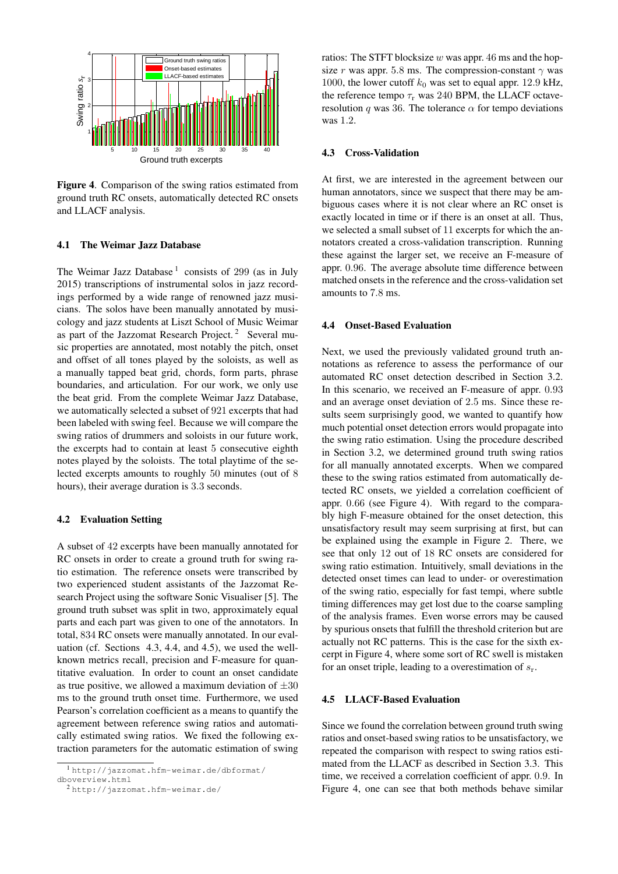

Figure 4. Comparison of the swing ratios estimated from ground truth RC onsets, automatically detected RC onsets and LLACF analysis.

### 4.1 The Weimar Jazz Database

The Weimar Jazz Database<sup>1</sup> consists of 299 (as in July 2015) transcriptions of instrumental solos in jazz recordings performed by a wide range of renowned jazz musicians. The solos have been manually annotated by musicology and jazz students at Liszt School of Music Weimar as part of the Jazzomat Research Project.<sup>2</sup> Several music properties are annotated, most notably the pitch, onset and offset of all tones played by the soloists, as well as a manually tapped beat grid, chords, form parts, phrase boundaries, and articulation. For our work, we only use the beat grid. From the complete Weimar Jazz Database, we automatically selected a subset of 921 excerpts that had been labeled with swing feel. Because we will compare the swing ratios of drummers and soloists in our future work, the excerpts had to contain at least 5 consecutive eighth notes played by the soloists. The total playtime of the selected excerpts amounts to roughly 50 minutes (out of 8 hours), their average duration is 3.3 seconds.

### 4.2 Evaluation Setting

A subset of 42 excerpts have been manually annotated for RC onsets in order to create a ground truth for swing ratio estimation. The reference onsets were transcribed by two experienced student assistants of the Jazzomat Research Project using the software Sonic Visualiser [5]. The ground truth subset was split in two, approximately equal parts and each part was given to one of the annotators. In total, 834 RC onsets were manually annotated. In our evaluation (cf. Sections 4.3, 4.4, and 4.5), we used the wellknown metrics recall, precision and F-measure for quantitative evaluation. In order to count an onset candidate as true positive, we allowed a maximum deviation of  $\pm 30$ ms to the ground truth onset time. Furthermore, we used Pearson's correlation coefficient as a means to quantify the agreement between reference swing ratios and automatically estimated swing ratios. We fixed the following extraction parameters for the automatic estimation of swing ratios: The STFT blocksize  $w$  was appr. 46 ms and the hopsize r was appr. 5.8 ms. The compression-constant  $\gamma$  was 1000, the lower cutoff  $k_0$  was set to equal appr. 12.9 kHz, the reference tempo  $\tau_r$  was 240 BPM, the LLACF octaveresolution q was 36. The tolerance  $\alpha$  for tempo deviations was 1.2.

### 4.3 Cross-Validation

At first, we are interested in the agreement between our human annotators, since we suspect that there may be ambiguous cases where it is not clear where an RC onset is exactly located in time or if there is an onset at all. Thus, we selected a small subset of 11 excerpts for which the annotators created a cross-validation transcription. Running these against the larger set, we receive an F-measure of appr. 0.96. The average absolute time difference between matched onsets in the reference and the cross-validation set amounts to 7.8 ms.

#### 4.4 Onset-Based Evaluation

Next, we used the previously validated ground truth annotations as reference to assess the performance of our automated RC onset detection described in Section 3.2. In this scenario, we received an F-measure of appr. 0.93 and an average onset deviation of 2.5 ms. Since these results seem surprisingly good, we wanted to quantify how much potential onset detection errors would propagate into the swing ratio estimation. Using the procedure described in Section 3.2, we determined ground truth swing ratios for all manually annotated excerpts. When we compared these to the swing ratios estimated from automatically detected RC onsets, we yielded a correlation coefficient of appr. 0.66 (see Figure 4). With regard to the comparably high F-measure obtained for the onset detection, this unsatisfactory result may seem surprising at first, but can be explained using the example in Figure 2. There, we see that only 12 out of 18 RC onsets are considered for swing ratio estimation. Intuitively, small deviations in the detected onset times can lead to under- or overestimation of the swing ratio, especially for fast tempi, where subtle timing differences may get lost due to the coarse sampling of the analysis frames. Even worse errors may be caused by spurious onsets that fulfill the threshold criterion but are actually not RC patterns. This is the case for the sixth excerpt in Figure 4, where some sort of RC swell is mistaken for an onset triple, leading to a overestimation of  $s_r$ .

### 4.5 LLACF-Based Evaluation

Since we found the correlation between ground truth swing ratios and onset-based swing ratios to be unsatisfactory, we repeated the comparison with respect to swing ratios estimated from the LLACF as described in Section 3.3. This time, we received a correlation coefficient of appr. 0.9. In Figure 4, one can see that both methods behave similar

<sup>1</sup> http://jazzomat.hfm-weimar.de/dbformat/ dboverview.html

<sup>2</sup> http://jazzomat.hfm-weimar.de/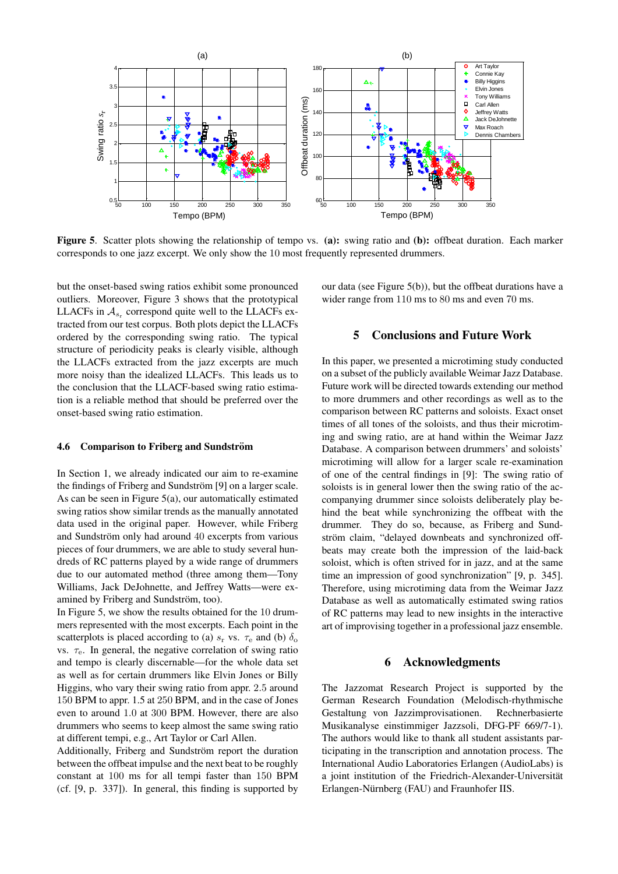

Figure 5. Scatter plots showing the relationship of tempo vs. (a): swing ratio and (b): offbeat duration. Each marker corresponds to one jazz excerpt. We only show the 10 most frequently represented drummers.

but the onset-based swing ratios exhibit some pronounced outliers. Moreover, Figure 3 shows that the prototypical LLACFs in  $A_{s_r}$  correspond quite well to the LLACFs extracted from our test corpus. Both plots depict the LLACFs ordered by the corresponding swing ratio. The typical structure of periodicity peaks is clearly visible, although the LLACFs extracted from the jazz excerpts are much more noisy than the idealized LLACFs. This leads us to the conclusion that the LLACF-based swing ratio estimation is a reliable method that should be preferred over the onset-based swing ratio estimation.

#### 4.6 Comparison to Friberg and Sundström

In Section 1, we already indicated our aim to re-examine the findings of Friberg and Sundström [9] on a larger scale. As can be seen in Figure 5(a), our automatically estimated swing ratios show similar trends as the manually annotated data used in the original paper. However, while Friberg and Sundström only had around 40 excerpts from various pieces of four drummers, we are able to study several hundreds of RC patterns played by a wide range of drummers due to our automated method (three among them—Tony Williams, Jack DeJohnette, and Jeffrey Watts—were examined by Friberg and Sundström, too).

In Figure 5, we show the results obtained for the 10 drummers represented with the most excerpts. Each point in the scatterplots is placed according to (a)  $s_r$  vs.  $\tau_e$  and (b)  $\delta_o$ vs.  $\tau_e$ . In general, the negative correlation of swing ratio and tempo is clearly discernable—for the whole data set as well as for certain drummers like Elvin Jones or Billy Higgins, who vary their swing ratio from appr. 2.5 around 150 BPM to appr. 1.5 at 250 BPM, and in the case of Jones even to around 1.0 at 300 BPM. However, there are also drummers who seems to keep almost the same swing ratio at different tempi, e.g., Art Taylor or Carl Allen.

Additionally, Friberg and Sundström report the duration between the offbeat impulse and the next beat to be roughly constant at 100 ms for all tempi faster than 150 BPM (cf. [9, p. 337]). In general, this finding is supported by our data (see Figure 5(b)), but the offbeat durations have a wider range from 110 ms to 80 ms and even 70 ms.

# 5 Conclusions and Future Work

In this paper, we presented a microtiming study conducted on a subset of the publicly available Weimar Jazz Database. Future work will be directed towards extending our method to more drummers and other recordings as well as to the comparison between RC patterns and soloists. Exact onset times of all tones of the soloists, and thus their microtiming and swing ratio, are at hand within the Weimar Jazz Database. A comparison between drummers' and soloists' microtiming will allow for a larger scale re-examination of one of the central findings in [9]: The swing ratio of soloists is in general lower then the swing ratio of the accompanying drummer since soloists deliberately play behind the beat while synchronizing the offbeat with the drummer. They do so, because, as Friberg and Sundström claim, "delayed downbeats and synchronized offbeats may create both the impression of the laid-back soloist, which is often strived for in jazz, and at the same time an impression of good synchronization" [9, p. 345]. Therefore, using microtiming data from the Weimar Jazz Database as well as automatically estimated swing ratios of RC patterns may lead to new insights in the interactive art of improvising together in a professional jazz ensemble.

### 6 Acknowledgments

The Jazzomat Research Project is supported by the German Research Foundation (Melodisch-rhythmische Gestaltung von Jazzimprovisationen. Rechnerbasierte Musikanalyse einstimmiger Jazzsoli, DFG-PF 669/7-1). The authors would like to thank all student assistants participating in the transcription and annotation process. The International Audio Laboratories Erlangen (AudioLabs) is a joint institution of the Friedrich-Alexander-Universität Erlangen-Nürnberg (FAU) and Fraunhofer IIS.